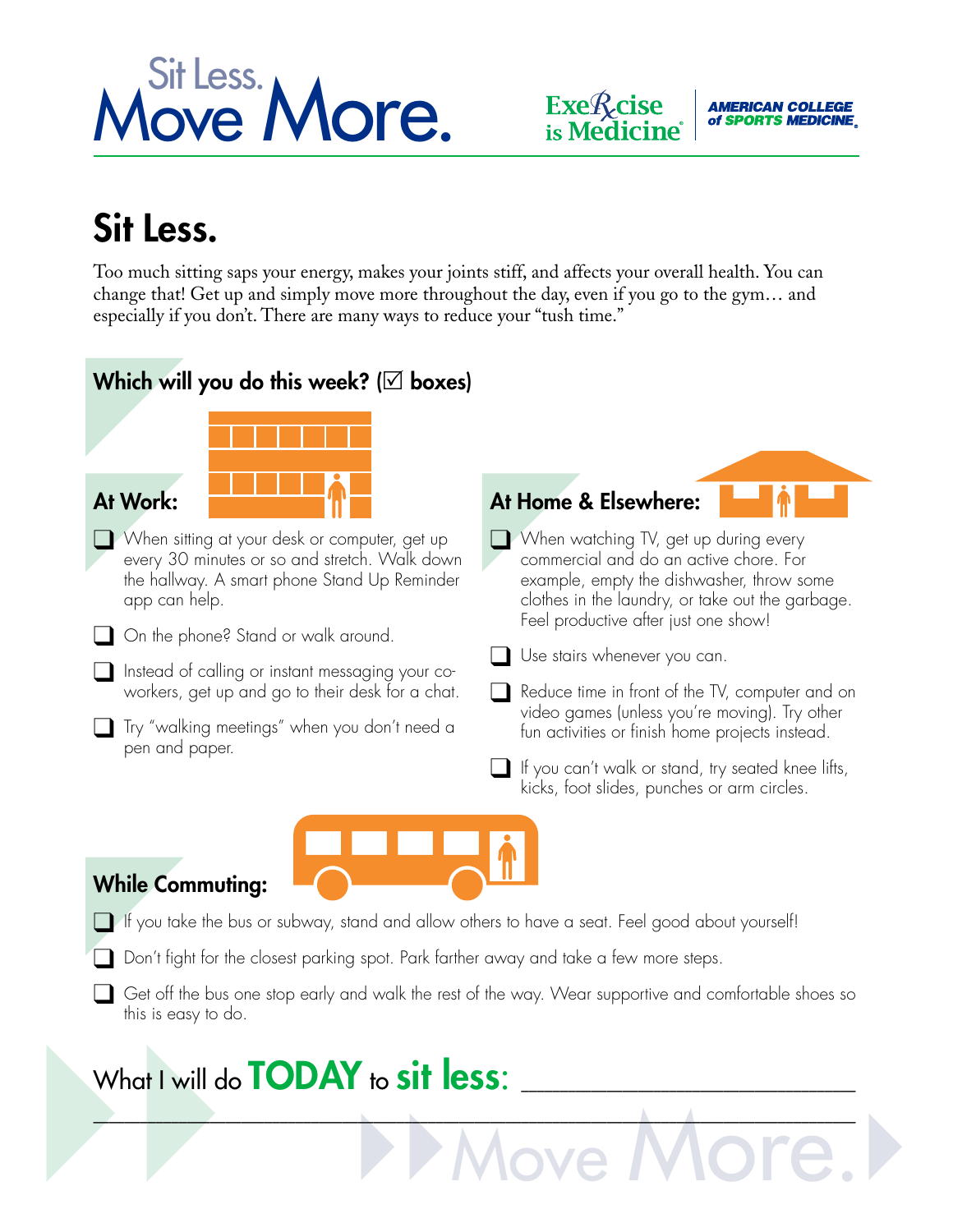





## Sit Less.

Too much sitting saps your energy, makes your joints stiff, and affects your overall health. You can change that! Get up and simply move more throughout the day, even if you go to the gym… and especially if you don't. There are many ways to reduce your "tush time."

### Which will you do this week? ( $\boxtimes$  boxes)



 $\Box$  . The contribution of the contribution of the contribution of the contribution of the contribution of the contribution of the contribution of the contribution of the contribution of the contribution of the contributi

# }} }}Move More.} What I will do **TODAY** to sit less: